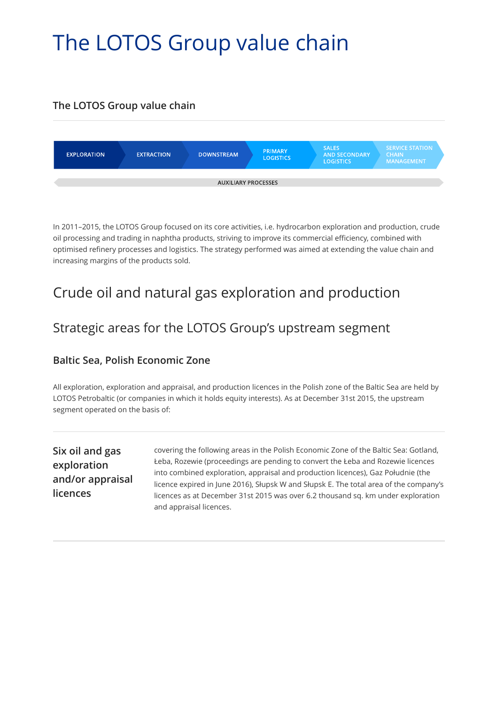# The LOTOS Group value chain

#### **The LOTOS Group value chain**



In 2011–2015, the LOTOS Group focused on its core activities, i.e. hydrocarbon exploration and production, crude oil processing and trading in naphtha products, striving to improve its commercial efficiency, combined with optimised refinery processes and logistics. The strategy performed was aimed at extending the value chain and increasing margins of the products sold.

### Crude oil and natural gas exploration and production

#### Strategic areas for the LOTOS Group's upstream segment

#### **Baltic Sea, Polish Economic Zone**

All exploration, exploration and appraisal, and production licences in the Polish zone of the Baltic Sea are held by LOTOS Petrobaltic (or companies in which it holds equity interests). As at December 31st 2015, the upstream segment operated on the basis of:

**Six oil and gas exploration and/or appraisal licences**

covering the following areas in the Polish Economic Zone of the Baltic Sea: Gotland, Łeba, Rozewie (proceedings are pending to convert the Łeba and Rozewie licences into combined exploration, appraisal and production licences), Gaz Południe (the licence expired in June 2016), Słupsk W and Słupsk E. The total area of the company's licences as at December 31st 2015 was over 6.2 thousand sq. km under exploration and appraisal licences.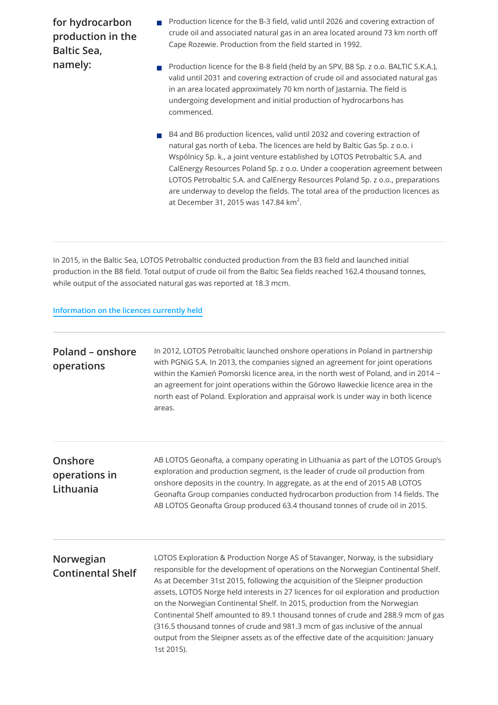**for hydrocarbon production in the Baltic Sea, namely:**

- **Production licence for the B-3 field, valid until 2026 and covering extraction of** crude oil and associated natural gas in an area located around 73 km north off Cape Rozewie. Production from the field started in 1992.
- Production licence for the B-8 field (held by an SPV, B8 Sp. z o.o. BALTIC S.K.A.),  $\overline{\phantom{a}}$ valid until 2031 and covering extraction of crude oil and associated natural gas in an area located approximately 70 km north of Jastarnia. The field is undergoing development and initial production of hydrocarbons has commenced.
- B4 and B6 production licences, valid until 2032 and covering extraction of natural gas north of Łeba. The licences are held by Baltic Gas Sp. z o.o. i Wspólnicy Sp. k., a joint venture established by LOTOS Petrobaltic S.A. and CalEnergy Resources Poland Sp. z o.o. Under a cooperation agreement between LOTOS Petrobaltic S.A. and CalEnergy Resources Poland Sp. z o.o., preparations are underway to develop the fields. The total area of the production licences as at December 31, 2015 was 147.84 km $^2$ .

In 2015, in the Baltic Sea, LOTOS Petrobaltic conducted production from the B3 field and launched initial production in the B8 field. Total output of crude oil from the Baltic Sea fields reached 162.4 thousand tonnes, while output of the associated natural gas was reported at 18.3 mcm.

#### **[Information on the licences currently held](http://www.lotos.pl/en/829/lotos_group/our_companies/lotos_petrobaltic/information/licences)**

| Poland – onshore<br>operations        | In 2012, LOTOS Petrobaltic launched onshore operations in Poland in partnership<br>with PGNiG S.A. In 2013, the companies signed an agreement for joint operations<br>within the Kamień Pomorski licence area, in the north west of Poland, and in 2014 -<br>an agreement for joint operations within the Górowo Iławeckie licence area in the<br>north east of Poland. Exploration and appraisal work is under way in both licence<br>areas.                                                                                                                                                                                                                                                          |
|---------------------------------------|--------------------------------------------------------------------------------------------------------------------------------------------------------------------------------------------------------------------------------------------------------------------------------------------------------------------------------------------------------------------------------------------------------------------------------------------------------------------------------------------------------------------------------------------------------------------------------------------------------------------------------------------------------------------------------------------------------|
| Onshore<br>operations in<br>Lithuania | AB LOTOS Geonafta, a company operating in Lithuania as part of the LOTOS Group's<br>exploration and production segment, is the leader of crude oil production from<br>onshore deposits in the country. In aggregate, as at the end of 2015 AB LOTOS<br>Geonafta Group companies conducted hydrocarbon production from 14 fields. The<br>AB LOTOS Geonafta Group produced 63.4 thousand tonnes of crude oil in 2015.                                                                                                                                                                                                                                                                                    |
| Norwegian<br><b>Continental Shelf</b> | LOTOS Exploration & Production Norge AS of Stavanger, Norway, is the subsidiary<br>responsible for the development of operations on the Norwegian Continental Shelf.<br>As at December 31st 2015, following the acquisition of the Sleipner production<br>assets, LOTOS Norge held interests in 27 licences for oil exploration and production<br>on the Norwegian Continental Shelf. In 2015, production from the Norwegian<br>Continental Shelf amounted to 89.1 thousand tonnes of crude and 288.9 mcm of gas<br>(316.5 thousand tonnes of crude and 981.3 mcm of gas inclusive of the annual<br>output from the Sleipner assets as of the effective date of the acquisition: January<br>1st 2015). |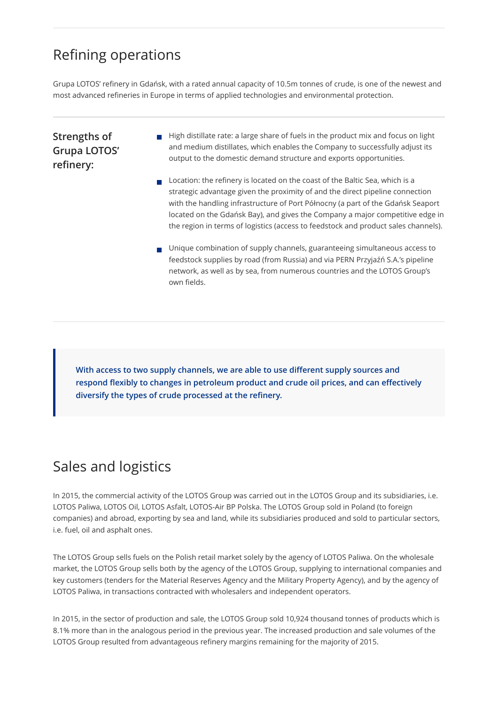### Refining operations

Grupa LOTOS' refinery in Gdańsk, with a rated annual capacity of 10.5m tonnes of crude, is one of the newest and most advanced refineries in Europe in terms of applied technologies and environmental protection.

#### **Strengths of Grupa LOTOS' refinery:**

- $\blacksquare$  High distillate rate: a large share of fuels in the product mix and focus on light and medium distillates, which enables the Company to successfully adjust its output to the domestic demand structure and exports opportunities.
- $\blacksquare$  Location: the refinery is located on the coast of the Baltic Sea, which is a strategic advantage given the proximity of and the direct pipeline connection with the handling infrastructure of Port Północny (a part of the Gdańsk Seaport located on the Gdańsk Bay), and gives the Company a major competitive edge in the region in terms of logistics (access to feedstock and product sales channels).
- **Unique combination of supply channels, guaranteeing simultaneous access to** feedstock supplies by road (from Russia) and via PERN Przyjaźń S.A.'s pipeline network, as well as by sea, from numerous countries and the LOTOS Group's own fields.

**With access to two supply channels, we are able to use different supply sources and respond flexibly to changes in petroleum product and crude oil prices, and can effectively diversify the types of crude processed at the refinery.**

## Sales and logistics

In 2015, the commercial activity of the LOTOS Group was carried out in the LOTOS Group and its subsidiaries, i.e. LOTOS Paliwa, LOTOS Oil, LOTOS Asfalt, LOTOS-Air BP Polska. The LOTOS Group sold in Poland (to foreign companies) and abroad, exporting by sea and land, while its subsidiaries produced and sold to particular sectors, i.e. fuel, oil and asphalt ones.

The LOTOS Group sells fuels on the Polish retail market solely by the agency of LOTOS Paliwa. On the wholesale market, the LOTOS Group sells both by the agency of the LOTOS Group, supplying to international companies and key customers (tenders for the Material Reserves Agency and the Military Property Agency), and by the agency of LOTOS Paliwa, in transactions contracted with wholesalers and independent operators.

In 2015, in the sector of production and sale, the LOTOS Group sold 10,924 thousand tonnes of products which is 8.1% more than in the analogous period in the previous year. The increased production and sale volumes of the LOTOS Group resulted from advantageous refinery margins remaining for the majority of 2015.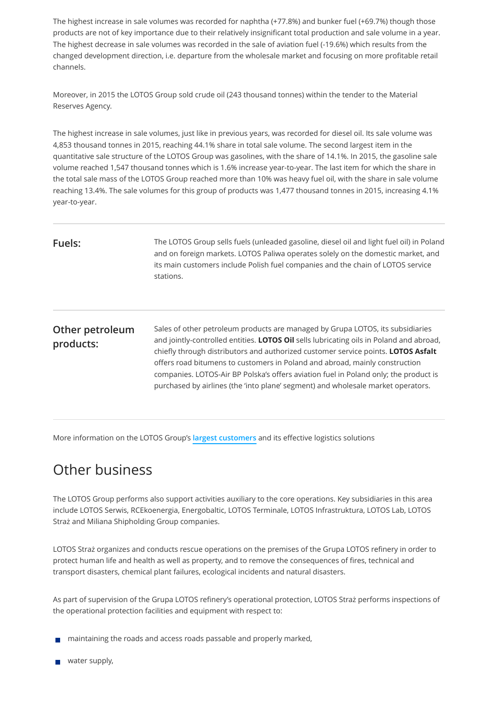The highest increase in sale volumes was recorded for naphtha (+77.8%) and bunker fuel (+69.7%) though those products are not of key importance due to their relatively insignificant total production and sale volume in a year. The highest decrease in sale volumes was recorded in the sale of aviation fuel (-19.6%) which results from the changed development direction, i.e. departure from the wholesale market and focusing on more profitable retail channels.

Moreover, in 2015 the LOTOS Group sold crude oil (243 thousand tonnes) within the tender to the Material Reserves Agency.

The highest increase in sale volumes, just like in previous years, was recorded for diesel oil. Its sale volume was 4,853 thousand tonnes in 2015, reaching 44.1% share in total sale volume. The second largest item in the quantitative sale structure of the LOTOS Group was gasolines, with the share of 14.1%. In 2015, the gasoline sale volume reached 1,547 thousand tonnes which is 1.6% increase year-to-year. The last item for which the share in the total sale mass of the LOTOS Group reached more than 10% was heavy fuel oil, with the share in sale volume reaching 13.4%. The sale volumes for this group of products was 1,477 thousand tonnes in 2015, increasing 4.1% year-to-year.

| Fuels:                       | The LOTOS Group sells fuels (unleaded gasoline, diesel oil and light fuel oil) in Poland<br>and on foreign markets. LOTOS Paliwa operates solely on the domestic market, and<br>its main customers include Polish fuel companies and the chain of LOTOS service<br>stations.                                                                                                                                                                                                                                                     |
|------------------------------|----------------------------------------------------------------------------------------------------------------------------------------------------------------------------------------------------------------------------------------------------------------------------------------------------------------------------------------------------------------------------------------------------------------------------------------------------------------------------------------------------------------------------------|
| Other petroleum<br>products: | Sales of other petroleum products are managed by Grupa LOTOS, its subsidiaries<br>and jointly-controlled entities. <b>LOTOS Oil</b> sells lubricating oils in Poland and abroad,<br>chiefly through distributors and authorized customer service points. LOTOS Asfalt<br>offers road bitumens to customers in Poland and abroad, mainly construction<br>companies. LOTOS-Air BP Polska's offers aviation fuel in Poland only; the product is<br>purchased by airlines (the 'into plane' segment) and wholesale market operators. |

More information on the LOTOS Group's **[largest customers](http://raportroczny.lotos.pl/en/product-customer-commitment-to-quality-safety-and-brand-image/customers/our-key-customers)** and its effective logistics solutions

### Other business

The LOTOS Group performs also support activities auxiliary to the core operations. Key subsidiaries in this area include LOTOS Serwis, RCEkoenergia, Energobaltic, LOTOS Terminale, LOTOS Infrastruktura, LOTOS Lab, LOTOS Straż and Miliana Shipholding Group companies.

LOTOS Straż organizes and conducts rescue operations on the premises of the Grupa LOTOS refinery in order to protect human life and health as well as property, and to remove the consequences of fires, technical and transport disasters, chemical plant failures, ecological incidents and natural disasters.

As part of supervision of the Grupa LOTOS refinery's operational protection, LOTOS Straż performs inspections of the operational protection facilities and equipment with respect to:

- maintaining the roads and access roads passable and properly marked,
- $\blacksquare$  water supply,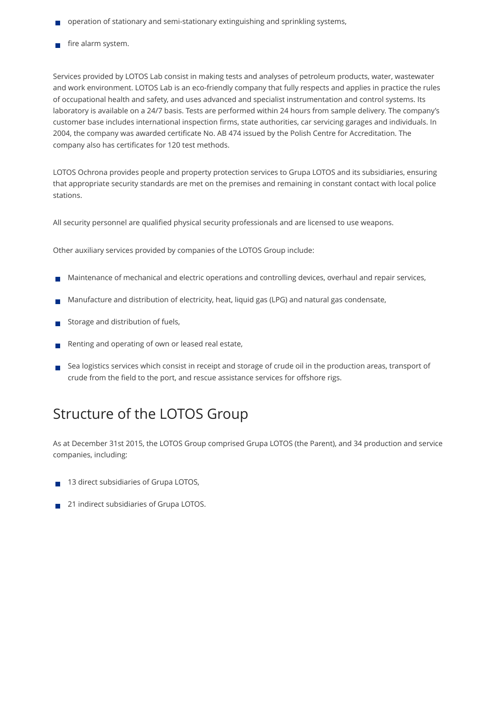- operation of stationary and semi-stationary extinguishing and sprinkling systems,
- fire alarm system.

Services provided by LOTOS Lab consist in making tests and analyses of petroleum products, water, wastewater and work environment. LOTOS Lab is an eco-friendly company that fully respects and applies in practice the rules of occupational health and safety, and uses advanced and specialist instrumentation and control systems. Its laboratory is available on a 24/7 basis. Tests are performed within 24 hours from sample delivery. The company's customer base includes international inspection firms, state authorities, car servicing garages and individuals. In 2004, the company was awarded certificate No. AB 474 issued by the Polish Centre for Accreditation. The company also has certificates for 120 test methods.

LOTOS Ochrona provides people and property protection services to Grupa LOTOS and its subsidiaries, ensuring that appropriate security standards are met on the premises and remaining in constant contact with local police stations.

All security personnel are qualified physical security professionals and are licensed to use weapons.

Other auxiliary services provided by companies of the LOTOS Group include:

- Maintenance of mechanical and electric operations and controlling devices, overhaul and repair services,  $\mathcal{C}^{\mathcal{A}}$
- Manufacture and distribution of electricity, heat, liquid gas (LPG) and natural gas condensate,
- Storage and distribution of fuels,
- Renting and operating of own or leased real estate,
- Sea logistics services which consist in receipt and storage of crude oil in the production areas, transport of crude from the field to the port, and rescue assistance services for offshore rigs.

### Structure of the LOTOS Group

As at December 31st 2015, the LOTOS Group comprised Grupa LOTOS (the Parent), and 34 production and service companies, including:

- 13 direct subsidiaries of Grupa LOTOS,  $\overline{\phantom{a}}$
- 21 indirect subsidiaries of Grupa LOTOS. $\overline{\phantom{a}}$